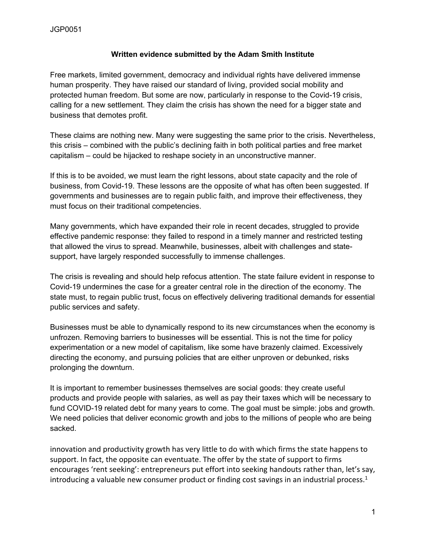#### **Written evidence submitted by the Adam Smith Institute**

Free markets, limited government, democracy and individual rights have delivered immense human prosperity. They have raised our standard of living, provided social mobility and protected human freedom. But some are now, particularly in response to the Covid-19 crisis, calling for a new settlement. They claim the crisis has shown the need for a bigger state and business that demotes profit.

These claims are nothing new. Many were suggesting the same prior to the crisis. Nevertheless, this crisis – combined with the public's declining faith in both political parties and free market capitalism – could be hijacked to reshape society in an unconstructive manner.

If this is to be avoided, we must learn the right lessons, about state capacity and the role of business, from Covid-19. These lessons are the opposite of what has often been suggested. If governments and businesses are to regain public faith, and improve their effectiveness, they must focus on their traditional competencies.

Many governments, which have expanded their role in recent decades, struggled to provide effective pandemic response: they failed to respond in a timely manner and restricted testing that allowed the virus to spread. Meanwhile, businesses, albeit with challenges and statesupport, have largely responded successfully to immense challenges.

The crisis is revealing and should help refocus attention. The state failure evident in response to Covid-19 undermines the case for a greater central role in the direction of the economy. The state must, to regain public trust, focus on effectively delivering traditional demands for essential public services and safety.

Businesses must be able to dynamically respond to its new circumstances when the economy is unfrozen. Removing barriers to businesses will be essential. This is not the time for policy experimentation or a new model of capitalism, like some have brazenly claimed. Excessively directing the economy, and pursuing policies that are either unproven or debunked, risks prolonging the downturn.

It is important to remember businesses themselves are social goods: they create useful products and provide people with salaries, as well as pay their taxes which will be necessary to fund COVID-19 related debt for many years to come. The goal must be simple: jobs and growth. We need policies that deliver economic growth and jobs to the millions of people who are being sacked.

innovation and productivity growth has very little to do with which firms the state happens to support. In fact, the opposite can eventuate. The offer by the state of support to firms encourages 'rent seeking': entrepreneurs put effort into seeking handouts rather than, let's say, introducing a valuable new consumer product or finding cost savings in an industrial process.<sup>1</sup>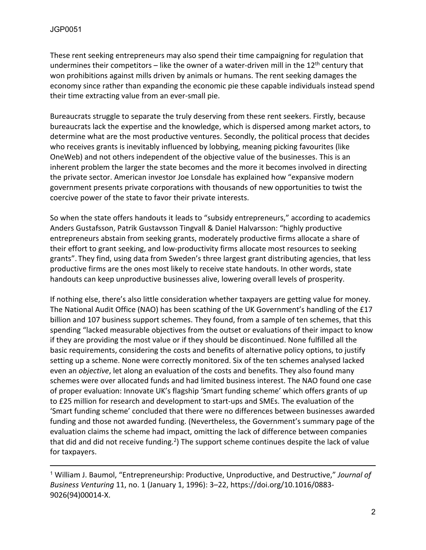These rent seeking entrepreneurs may also spend their time campaigning for regulation that undermines their competitors – like the owner of a water-driven mill in the  $12<sup>th</sup>$  century that won prohibitions against mills driven by animals or humans. The rent seeking damages the economy since rather than expanding the economic pie these capable individuals instead spend their time extracting value from an ever-small pie.

Bureaucrats struggle to separate the truly deserving from these rent seekers. Firstly, because bureaucrats lack the expertise and the knowledge, which is dispersed among market actors, to determine what are the most productive ventures. Secondly, the political process that decides who receives grants is inevitably influenced by lobbying, meaning picking favourites (like OneWeb) and not others independent of the objective value of the businesses. This is an inherent problem the larger the state becomes and the more it becomes involved in directing the private sector. American investor Joe Lonsdale has explained how "expansive modern government presents private corporations with thousands of new opportunities to twist the coercive power of the state to favor their private interests.

So when the state offers handouts it leads to "subsidy entrepreneurs," according to academics Anders Gustafsson, Patrik Gustavsson Tingvall & Daniel Halvarsson: "highly productive entrepreneurs abstain from seeking grants, moderately productive firms allocate a share of their effort to grant seeking, and low-productivity firms allocate most resources to seeking grants". They find, using data from Sweden's three largest grant distributing agencies, that less productive firms are the ones most likely to receive state handouts. In other words, state handouts can keep unproductive businesses alive, lowering overall levels of prosperity.

If nothing else, there's also little consideration whether taxpayers are getting value for money. The National Audit Office (NAO) has been scathing of the UK Government's handling of the £17 billion and 107 business support schemes. They found, from a sample of ten schemes, that this spending "lacked measurable objectives from the outset or evaluations of their impact to know if they are providing the most value or if they should be discontinued. None fulfilled all the basic requirements, considering the costs and benefits of alternative policy options, to justify setting up a scheme. None were correctly monitored. Six of the ten schemes analysed lacked even an *objective*, let along an evaluation of the costs and benefits. They also found many schemes were over allocated funds and had limited business interest. The NAO found one case of proper evaluation: Innovate UK's flagship 'Smart funding scheme' which offers grants of up to £25 million for research and development to start-ups and SMEs. The evaluation of the 'Smart funding scheme' concluded that there were no differences between businesses awarded funding and those not awarded funding. (Nevertheless, the Government's summary page of the evaluation claims the scheme had impact, omitting the lack of difference between companies that did and did not receive funding.<sup>2</sup>) The support scheme continues despite the lack of value for taxpayers.

<sup>1</sup> William J. Baumol, "Entrepreneurship: Productive, Unproductive, and Destructive," *Journal of Business Venturing* 11, no. 1 (January 1, 1996): 3–22, https://doi.org/10.1016/0883- 9026(94)00014-X.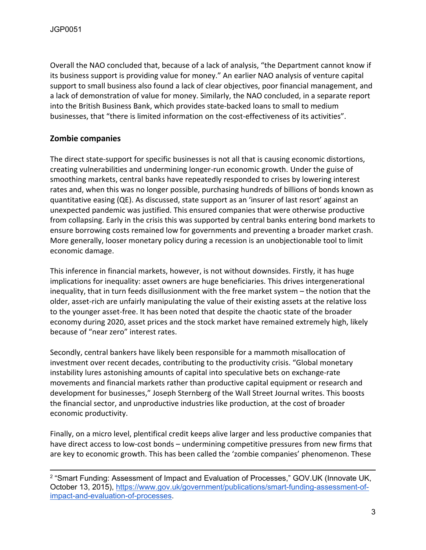Overall the NAO concluded that, because of a lack of analysis, "the Department cannot know if its business support is providing value for money." An earlier NAO analysis of venture capital support to small business also found a lack of clear objectives, poor financial management, and a lack of demonstration of value for money. Similarly, the NAO concluded, in a separate report into the British Business Bank, which provides state-backed loans to small to medium businesses, that "there is limited information on the cost-effectiveness of its activities".

### **Zombie companies**

The direct state-support for specific businesses is not all that is causing economic distortions, creating vulnerabilities and undermining longer-run economic growth. Under the guise of smoothing markets, central banks have repeatedly responded to crises by lowering interest rates and, when this was no longer possible, purchasing hundreds of billions of bonds known as quantitative easing (QE). As discussed, state support as an 'insurer of last resort' against an unexpected pandemic was justified. This ensured companies that were otherwise productive from collapsing. Early in the crisis this was supported by central banks entering bond markets to ensure borrowing costs remained low for governments and preventing a broader market crash. More generally, looser monetary policy during a recession is an unobjectionable tool to limit economic damage.

This inference in financial markets, however, is not without downsides. Firstly, it has huge implications for inequality: asset owners are huge beneficiaries. This drives intergenerational inequality, that in turn feeds disillusionment with the free market system – the notion that the older, asset-rich are unfairly manipulating the value of their existing assets at the relative loss to the younger asset-free. It has been noted that despite the chaotic state of the broader economy during 2020, asset prices and the stock market have remained extremely high, likely because of "near zero" interest rates.

Secondly, central bankers have likely been responsible for a mammoth misallocation of investment over recent decades, contributing to the productivity crisis. "Global monetary instability lures astonishing amounts of capital into speculative bets on exchange-rate movements and financial markets rather than productive capital equipment or research and development for businesses," Joseph Sternberg of the Wall Street Journal writes. This boosts the financial sector, and unproductive industries like production, at the cost of broader economic productivity.

Finally, on a micro level, plentifical credit keeps alive larger and less productive companies that have direct access to low-cost bonds – undermining competitive pressures from new firms that are key to economic growth. This has been called the 'zombie companies' phenomenon. These

<sup>&</sup>lt;sup>2</sup> "Smart Funding: Assessment of Impact and Evaluation of Processes," GOV.UK (Innovate UK, October 13, 2015), [https://www.gov.uk/government/publications/smart-funding-assessment-of](https://www.gov.uk/government/publications/smart-funding-assessment-of-impact-and-evaluation-of-processes)[impact-and-evaluation-of-processes.](https://www.gov.uk/government/publications/smart-funding-assessment-of-impact-and-evaluation-of-processes)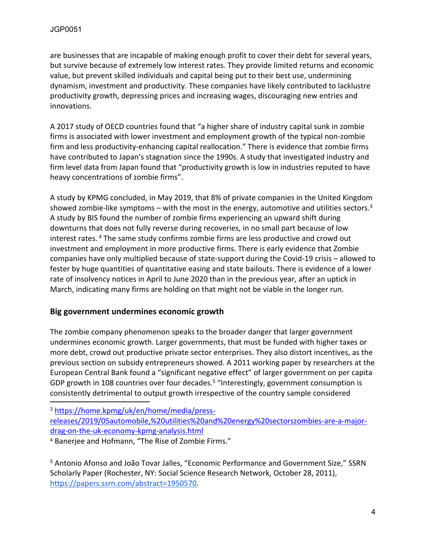are businesses that are incapable of making enough profit to cover their debt for several years, but survive because of extremely low interest rates. They provide limited returns and economic value, but prevent skilled individuals and capital being put to their best use, undermining dynamism, investment and productivity. These companies have likely contributed to lacklustre productivity growth, depressing prices and increasing wages, discouraging new entries and innovations.

A 2017 study of OECD countries found that "a higher share of industry capital sunk in zombie firms is associated with lower investment and employment growth of the typical non-zombie firm and less productivity-enhancing capital reallocation." There is evidence that zombie firms have contributed to Japan's stagnation since the 1990s. A study that investigated industry and firm level data from Japan found that "productivity growth is low in industries reputed to have heavy concentrations of zombie firms".

A study by KPMG concluded, in May 2019, that 8% of private companies in the United Kingdom showed zombie-like symptoms – with the most in the energy, automotive and utilities sectors.<sup>3</sup> A study by BIS found the number of zombie firms experiencing an upward shift during downturns that does not fully reverse during recoveries, in no small part because of low interest rates. <sup>4</sup> The same study confirms zombie firms are less productive and crowd out investment and employment in more productive firms. There is early evidence that Zombie companies have only multiplied because of state-support during the Covid-19 crisis – allowed to fester by huge quantities of quantitative easing and state bailouts. There is evidence of a lower rate of insolvency notices in April to June 2020 than in the previous year, after an uptick in March, indicating many firms are holding on that might not be viable in the longer run.

## **Big government undermines economic growth**

The zombie company phenomenon speaks to the broader danger that larger government undermines economic growth. Larger governments, that must be funded with higher taxes or more debt, crowd out productive private sector enterprises. They also distort incentives, as the previous section on subsidy entrepreneurs showed. A 2011 working paper by researchers at the European Central Bank found a "significant negative effect" of larger government on per capita GDP growth in 108 countries over four decades.<sup>5</sup> "Interestingly, government consumption is consistently detrimental to output growth irrespective of the country sample considered

<sup>3</sup> [https://home.kpmg/uk/en/home/media/press](https://home.kpmg/uk/en/home/media/press-releases/2019/05automobile,%20utilities%20and%20energy%20sectorszombies-are-a-major-drag-on-the-uk-economy-kpmg-analysis.html)[releases/2019/05automobile,%20utilities%20and%20energy%20sectorszombies-are-a-major](https://home.kpmg/uk/en/home/media/press-releases/2019/05automobile,%20utilities%20and%20energy%20sectorszombies-are-a-major-drag-on-the-uk-economy-kpmg-analysis.html)[drag-on-the-uk-economy-kpmg-analysis.html](https://home.kpmg/uk/en/home/media/press-releases/2019/05automobile,%20utilities%20and%20energy%20sectorszombies-are-a-major-drag-on-the-uk-economy-kpmg-analysis.html)

<sup>4</sup> Banerjee and Hofmann, "The Rise of Zombie Firms."

<sup>5</sup> Antonio Afonso and João Tovar Jalles, "Economic Performance and Government Size," SSRN Scholarly Paper (Rochester, NY: Social Science Research Network, October 28, 2011), [https://papers.ssrn.com/abstract=1950570.](https://papers.ssrn.com/abstract=1950570)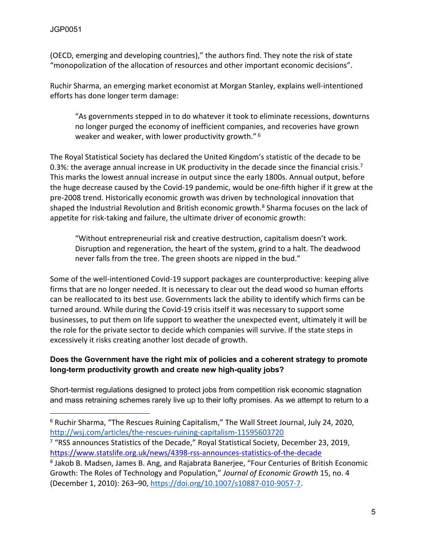(OECD, emerging and developing countries)," the authors find. They note the risk of state "monopolization of the allocation of resources and other important economic decisions".

Ruchir Sharma, an emerging market economist at Morgan Stanley, explains well-intentioned efforts has done longer term damage:

"As governments stepped in to do whatever it took to eliminate recessions, downturns no longer purged the economy of inefficient companies, and recoveries have grown weaker and weaker, with lower productivity growth." <sup>6</sup>

The Royal Statistical Society has declared the United Kingdom's statistic of the decade to be 0.3%: the average annual increase in UK productivity in the decade since the financial crisis.<sup>7</sup> This marks the lowest annual increase in output since the early 1800s. Annual output, before the huge decrease caused by the Covid-19 pandemic, would be one-fifth higher if it grew at the pre-2008 trend. Historically economic growth was driven by technological innovation that shaped the Industrial Revolution and British economic growth.<sup>8</sup> Sharma focuses on the lack of appetite for risk-taking and failure, the ultimate driver of economic growth:

"Without entrepreneurial risk and creative destruction, capitalism doesn't work. Disruption and regeneration, the heart of the system, grind to a halt. The deadwood never falls from the tree. The green shoots are nipped in the bud."

Some of the well-intentioned Covid-19 support packages are counterproductive: keeping alive firms that are no longer needed. It is necessary to clear out the dead wood so human efforts can be reallocated to its best use. Governments lack the ability to identify which firms can be turned around. While during the Covid-19 crisis itself it was necessary to support some businesses, to put them on life support to weather the unexpected event, ultimately it will be the role for the private sector to decide which companies will survive. If the state steps in excessively it risks creating another lost decade of growth.

#### **Does the Government have the right mix of policies and a coherent strategy to promote long-term productivity growth and create new high-quality jobs?**

Short-termist regulations designed to protect jobs from competition risk economic stagnation and mass retraining schemes rarely live up to their lofty promises. As we attempt to return to a

<sup>6</sup> Ruchir Sharma, "The Rescues Ruining Capitalism," The Wall Street Journal, July 24, 2020, <http://wsj.com/articles/the-rescues-ruining-capitalism-11595603720>

<sup>7</sup> "RSS announces Statistics of the Decade," Royal Statistical Society, December 23, 2019, <https://www.statslife.org.uk/news/4398-rss-announces-statistics-of-the-decade> 8 Jakob B. Madsen, James B. Ang, and Rajabrata Banerjee, "Four Centuries of British Economic Growth: The Roles of Technology and Population," *Journal of Economic Growth* 15, no. 4 (December 1, 2010): 263–90, [https://doi.org/10.1007/s10887-010-9057-7.](https://doi.org/10.1007/s10887-010-9057-7)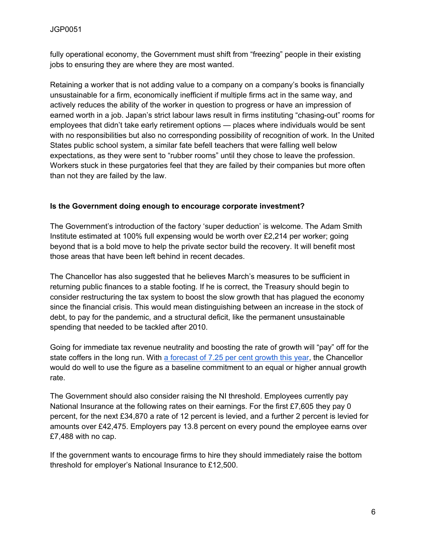fully operational economy, the Government must shift from "freezing" people in their existing jobs to ensuring they are where they are most wanted.

Retaining a worker that is not adding value to a company on a company's books is financially unsustainable for a firm, economically inefficient if multiple firms act in the same way, and actively reduces the ability of the worker in question to progress or have an impression of earned worth in a job. Japan's strict labour laws result in firms instituting "chasing-out" rooms for employees that didn't take early retirement options — places where individuals would be sent with no responsibilities but also no corresponding possibility of recognition of work. In the United States public school system, a similar fate befell teachers that were falling well below expectations, as they were sent to "rubber rooms" until they chose to leave the profession. Workers stuck in these purgatories feel that they are failed by their companies but more often than not they are failed by the law.

#### **Is the Government doing enough to encourage corporate investment?**

The Government's introduction of the factory 'super deduction' is welcome. The Adam Smith Institute estimated at 100% full expensing would be worth over £2,214 per worker; going beyond that is a bold move to help the private sector build the recovery. It will benefit most those areas that have been left behind in recent decades.

The Chancellor has also suggested that he believes March's measures to be sufficient in returning public finances to a stable footing. If he is correct, the Treasury should begin to consider restructuring the tax system to boost the slow growth that has plagued the economy since the financial crisis. This would mean distinguishing between an increase in the stock of debt, to pay for the pandemic, and a structural deficit, like the permanent unsustainable spending that needed to be tackled after 2010.

Going for immediate tax revenue neutrality and boosting the rate of growth will "pay" off for the state coffers in the long run. With [a](https://www.bbc.co.uk/news/business-50373505) [forecast](https://www.bbc.co.uk/news/business-50373505) [of](https://www.bbc.co.uk/news/business-50373505) [7.25](https://www.bbc.co.uk/news/business-50373505) [per](https://www.bbc.co.uk/news/business-50373505) [cent](https://www.bbc.co.uk/news/business-50373505) [growth](https://www.bbc.co.uk/news/business-50373505) [this](https://www.bbc.co.uk/news/business-50373505) [year](https://www.bbc.co.uk/news/business-50373505), the Chancellor would do well to use the figure as a baseline commitment to an equal or higher annual growth rate.

The Government should also consider raising the NI threshold. Employees currently pay National Insurance at the following rates on their earnings. For the first £7,605 they pay 0 percent, for the next £34,870 a rate of 12 percent is levied, and a further 2 percent is levied for amounts over £42,475. Employers pay 13.8 percent on every pound the employee earns over £7,488 with no cap.

If the government wants to encourage firms to hire they should immediately raise the bottom threshold for employer's National Insurance to £12,500.